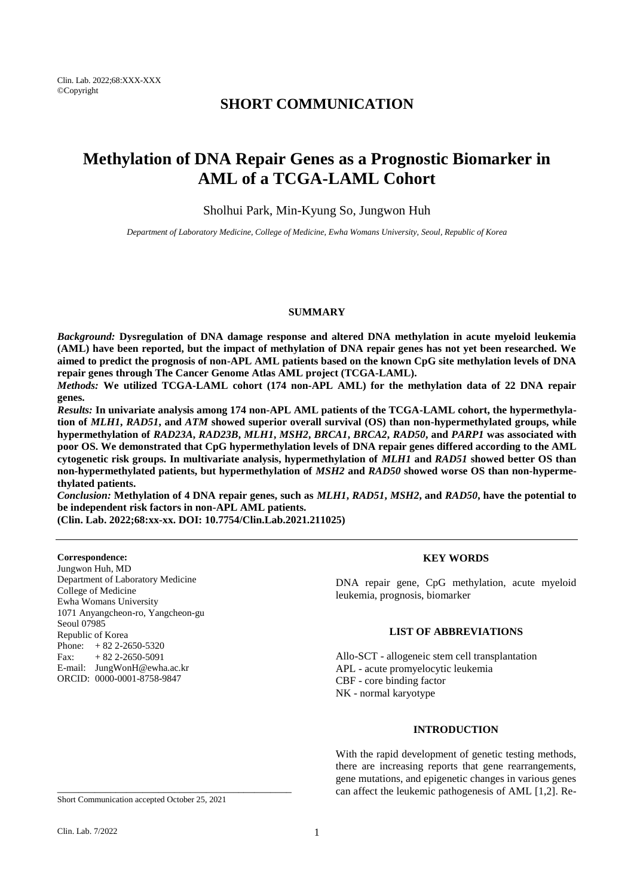## **SHORT COMMUNICATION**

# **Methylation of DNA Repair Genes as a Prognostic Biomarker in AML of a TCGA-LAML Cohort**

Sholhui Park, Min-Kyung So, Jungwon Huh

*Department of Laboratory Medicine, College of Medicine, Ewha Womans University, Seoul, Republic of Korea*

#### **SUMMARY**

*Background:* **Dysregulation of DNA damage response and altered DNA methylation in acute myeloid leukemia (AML) have been reported, but the impact of methylation of DNA repair genes has not yet been researched. We aimed to predict the prognosis of non-APL AML patients based on the known CpG site methylation levels of DNA repair genes through The Cancer Genome Atlas AML project (TCGA-LAML).** 

*Methods:* **We utilized TCGA-LAML cohort (174 non-APL AML) for the methylation data of 22 DNA repair genes.**

*Results:* **In univariate analysis among 174 non-APL AML patients of the TCGA-LAML cohort, the hypermethylation of** *MLH1***,** *RAD51***, and** *ATM* **showed superior overall survival (OS) than non-hypermethylated groups, while hypermethylation of** *RAD23A***,** *RAD23B***,** *MLH1***,** *MSH2***,** *BRCA1***,** *BRCA2***,** *RAD50***, and** *PARP1* **was associated with poor OS. We demonstrated that CpG hypermethylation levels of DNA repair genes differed according to the AML cytogenetic risk groups. In multivariate analysis, hypermethylation of** *MLH1* **and** *RAD51* **showed better OS than non-hypermethylated patients, but hypermethylation of** *MSH2* **and** *RAD50* **showed worse OS than non-hypermethylated patients.** 

*Conclusion:* **Methylation of 4 DNA repair genes, such as** *MLH1***,** *RAD51***,** *MSH2***, and** *RAD50***, have the potential to be independent risk factors in non-APL AML patients.**

**(Clin. Lab. 2022;68:xx-xx. DOI: 10.7754/Clin.Lab.2021.211025)**

**Correspondence:** Jungwon Huh, MD Department of Laboratory Medicine College of Medicine Ewha Womans University 1071 Anyangcheon-ro, Yangcheon-gu Seoul 07985 Republic of Korea Phone:  $+ 82 2 - 2650 - 5320$ Fax:  $+82\,2-2650-5091$ E-mail: JungWonH@ewha.ac.kr ORCID: 0000-0001-8758-9847

## **KEY WORDS**

DNA repair gene, CpG methylation, acute myeloid leukemia, prognosis, biomarker

## **LIST OF ABBREVIATIONS**

Allo-SCT - allogeneic stem cell transplantation APL - acute promyelocytic leukemia CBF - core binding factor NK - normal karyotype

#### **INTRODUCTION**

With the rapid development of genetic testing methods, there are increasing reports that gene rearrangements, gene mutations, and epigenetic changes in various genes can affect the leukemic pathogenesis of AML [1,2]. Re-

\_\_\_\_\_\_\_\_\_\_\_\_\_\_\_\_\_\_\_\_\_\_\_\_\_\_\_\_\_\_\_\_\_\_\_\_\_\_\_\_\_\_\_\_

Short Communication accepted October 25, 2021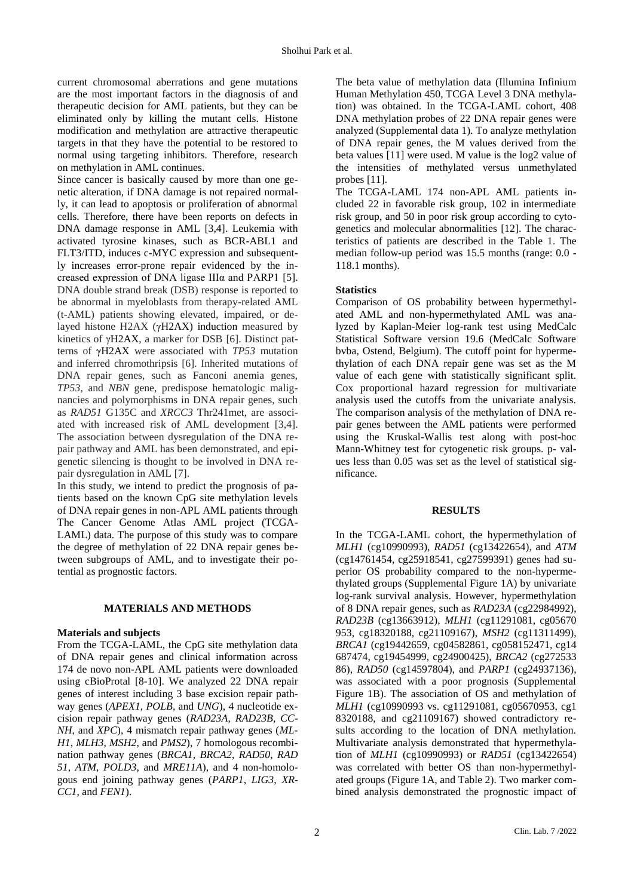current chromosomal aberrations and gene mutations are the most important factors in the diagnosis of and therapeutic decision for AML patients, but they can be eliminated only by killing the mutant cells. Histone modification and methylation are attractive therapeutic targets in that they have the potential to be restored to normal using targeting inhibitors. Therefore, research on methylation in AML continues.

Since cancer is basically caused by more than one genetic alteration, if DNA damage is not repaired normally, it can lead to apoptosis or proliferation of abnormal cells. Therefore, there have been reports on defects in DNA damage response in AML [3,4]. Leukemia with activated tyrosine kinases, such as BCR-ABL1 and FLT3/ITD, induces c-MYC expression and subsequently increases error-prone repair evidenced by the increased expression of DNA ligase IIIα and PARP1 [5]. DNA double strand break (DSB) response is reported to be abnormal in myeloblasts from therapy-related AML (t-AML) patients showing elevated, impaired, or delayed histone H2AX (γH2AX) induction measured by kinetics of γH2AX, a marker for DSB [6]. Distinct patterns of γH2AX were associated with *TP53* mutation and inferred chromothripsis [6]. Inherited mutations of DNA repair genes, such as Fanconi anemia genes, *TP53*, and *NBN* gene, predispose hematologic malignancies and polymorphisms in DNA repair genes, such as *RAD51* G135C and *XRCC3* Thr241met, are associated with increased risk of AML development [3,4]. The association between dysregulation of the DNA repair pathway and AML has been demonstrated, and epigenetic silencing is thought to be involved in DNA repair dysregulation in AML [7].

In this study, we intend to predict the prognosis of patients based on the known CpG site methylation levels of DNA repair genes in non-APL AML patients through The Cancer Genome Atlas AML project (TCGA-LAML) data. The purpose of this study was to compare the degree of methylation of 22 DNA repair genes between subgroups of AML, and to investigate their potential as prognostic factors.

## **MATERIALS AND METHODS**

## **Materials and subjects**

From the TCGA-LAML, the CpG site methylation data of DNA repair genes and clinical information across 174 de novo non-APL AML patients were downloaded using cBioProtal [8-10]. We analyzed 22 DNA repair genes of interest including 3 base excision repair pathway genes (*APEX1*, *POLB*, and *UNG*), 4 nucleotide excision repair pathway genes (*RAD23A*, *RAD23B*, *CC-NH*, and *XPC*), 4 mismatch repair pathway genes (*ML-H1*, *MLH3*, *MSH2*, and *PMS2*), 7 homologous recombination pathway genes (*BRCA1*, *BRCA2*, *RAD50*, *RAD 51*, *ATM*, *POLD3*, and *MRE11A*), and 4 non-homologous end joining pathway genes (*PARP1*, *LIG3*, *XR-CC1*, and *FEN1*).

The beta value of methylation data (Illumina Infinium Human Methylation 450, TCGA Level 3 DNA methylation) was obtained. In the TCGA-LAML cohort, 408 DNA methylation probes of 22 DNA repair genes were analyzed (Supplemental data 1). To analyze methylation of DNA repair genes, the M values derived from the beta values [11] were used. M value is the log2 value of the intensities of methylated versus unmethylated probes [11].

The TCGA-LAML 174 non-APL AML patients included 22 in favorable risk group, 102 in intermediate risk group, and 50 in poor risk group according to cytogenetics and molecular abnormalities [12]. The characteristics of patients are described in the Table 1. The median follow-up period was 15.5 months (range: 0.0 - 118.1 months).

## **Statistics**

Comparison of OS probability between hypermethylated AML and non-hypermethylated AML was analyzed by Kaplan-Meier log-rank test using MedCalc Statistical Software version 19.6 (MedCalc Software bvba, Ostend, Belgium). The cutoff point for hypermethylation of each DNA repair gene was set as the M value of each gene with statistically significant split. Cox proportional hazard regression for multivariate analysis used the cutoffs from the univariate analysis. The comparison analysis of the methylation of DNA repair genes between the AML patients were performed using the Kruskal-Wallis test along with post-hoc Mann-Whitney test for cytogenetic risk groups. p- values less than 0.05 was set as the level of statistical significance.

## **RESULTS**

In the TCGA-LAML cohort, the hypermethylation of *MLH1* (cg10990993), *RAD51* (cg13422654), and *ATM* (cg14761454, cg25918541, cg27599391) genes had superior OS probability compared to the non-hypermethylated groups (Supplemental Figure 1A) by univariate log-rank survival analysis. However, hypermethylation of 8 DNA repair genes, such as *RAD23A* (cg22984992), *RAD23B* (cg13663912), *MLH1* (cg11291081, cg05670 953, cg18320188, cg21109167), *MSH2* (cg11311499), *BRCA1* (cg19442659, cg04582861, cg058152471, cg14 687474, cg19454999, cg24900425), *BRCA2* (cg272533 86), *RAD50* (cg14597804), and *PARP1* (cg24937136), was associated with a poor prognosis (Supplemental Figure 1B). The association of OS and methylation of *MLH1* (cg10990993 vs. cg11291081, cg05670953, cg1 8320188, and cg21109167) showed contradictory results according to the location of DNA methylation. Multivariate analysis demonstrated that hypermethylation of *MLH1* (cg10990993) or *RAD51* (cg13422654) was correlated with better OS than non-hypermethylated groups (Figure 1A, and Table 2). Two marker combined analysis demonstrated the prognostic impact of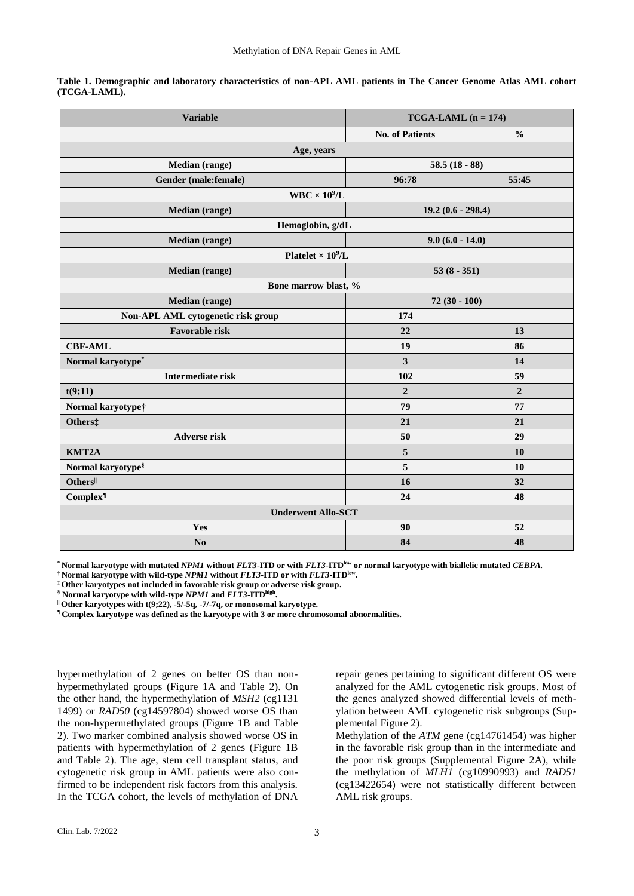| <b>Variable</b>                    | $TCGA-LAML$ (n = 174)  |                |  |  |  |
|------------------------------------|------------------------|----------------|--|--|--|
|                                    | <b>No. of Patients</b> | $\frac{0}{0}$  |  |  |  |
| Age, years                         |                        |                |  |  |  |
| Median (range)                     | 58.5 $(18 - 88)$       |                |  |  |  |
| Gender (male:female)               | 96:78                  | 55:45          |  |  |  |
| $WBC \times 10^9/L$                |                        |                |  |  |  |
| Median (range)                     | $19.2(0.6 - 298.4)$    |                |  |  |  |
| Hemoglobin, g/dL                   |                        |                |  |  |  |
| Median (range)                     | $9.0(6.0 - 14.0)$      |                |  |  |  |
| Platelet $\times 10^9$ /L          |                        |                |  |  |  |
| Median (range)                     | $53(8 - 351)$          |                |  |  |  |
| Bone marrow blast, %               |                        |                |  |  |  |
| Median (range)                     | $72(30 - 100)$         |                |  |  |  |
| Non-APL AML cytogenetic risk group | 174                    |                |  |  |  |
| <b>Favorable risk</b>              | 22                     | 13             |  |  |  |
| <b>CBF-AML</b>                     | 19                     | 86             |  |  |  |
| Normal karyotype*                  | 3                      | 14             |  |  |  |
| <b>Intermediate risk</b>           | 102                    | 59             |  |  |  |
| t(9;11)                            | $\overline{2}$         | $\overline{2}$ |  |  |  |
| Normal karyotype†                  | 79                     | 77             |  |  |  |
| Others:                            | 21                     | 21             |  |  |  |
| <b>Adverse risk</b>                | 50                     | 29             |  |  |  |
| KMT2A                              | $\overline{5}$         | 10             |  |  |  |
| Normal karyotype <sup>§</sup>      | 5                      | 10             |  |  |  |
| Others <sup>  </sup>               | 16                     | 32             |  |  |  |
| Complex <sup>¶</sup>               | 24                     | 48             |  |  |  |
| <b>Underwent Allo-SCT</b>          |                        |                |  |  |  |
| Yes                                | 90                     | 52             |  |  |  |
| No                                 | 84                     | 48             |  |  |  |

**Table 1. Demographic and laboratory characteristics of non-APL AML patients in The Cancer Genome Atlas AML cohort (TCGA-LAML).**

**\* Normal karyotype with mutated** *NPM1* **without** *FLT3***-ITD or with** *FLT3***-ITDlow or normal karyotype with biallelic mutated** *CEBPA.*

**† Normal karyotype with wild-type** *NPM1* **without** *FLT3***-ITD or with** *FLT3***-ITDlow .**

**‡ Other karyotypes not included in favorable risk group or adverse risk group.**

**§ Normal karyotype with wild-type** *NPM1* **and** *FLT3***-ITDhigh .**

**|| Other karyotypes with t(9;22), -5/-5q, -7/-7q, or monosomal karyotype.**

**¶ Complex karyotype was defined as the karyotype with 3 or more chromosomal abnormalities.**

hypermethylation of 2 genes on better OS than nonhypermethylated groups (Figure 1A and Table 2). On the other hand, the hypermethylation of *MSH2* (cg1131 1499) or *RAD50* (cg14597804) showed worse OS than the non-hypermethylated groups (Figure 1B and Table 2). Two marker combined analysis showed worse OS in patients with hypermethylation of 2 genes (Figure 1B and Table 2). The age, stem cell transplant status, and cytogenetic risk group in AML patients were also confirmed to be independent risk factors from this analysis. In the TCGA cohort, the levels of methylation of DNA

repair genes pertaining to significant different OS were analyzed for the AML cytogenetic risk groups. Most of the genes analyzed showed differential levels of methylation between AML cytogenetic risk subgroups (Supplemental Figure 2).

Methylation of the *ATM* gene (cg14761454) was higher in the favorable risk group than in the intermediate and the poor risk groups (Supplemental Figure 2A), while the methylation of *MLH1* (cg10990993) and *RAD51* (cg13422654) were not statistically different between AML risk groups.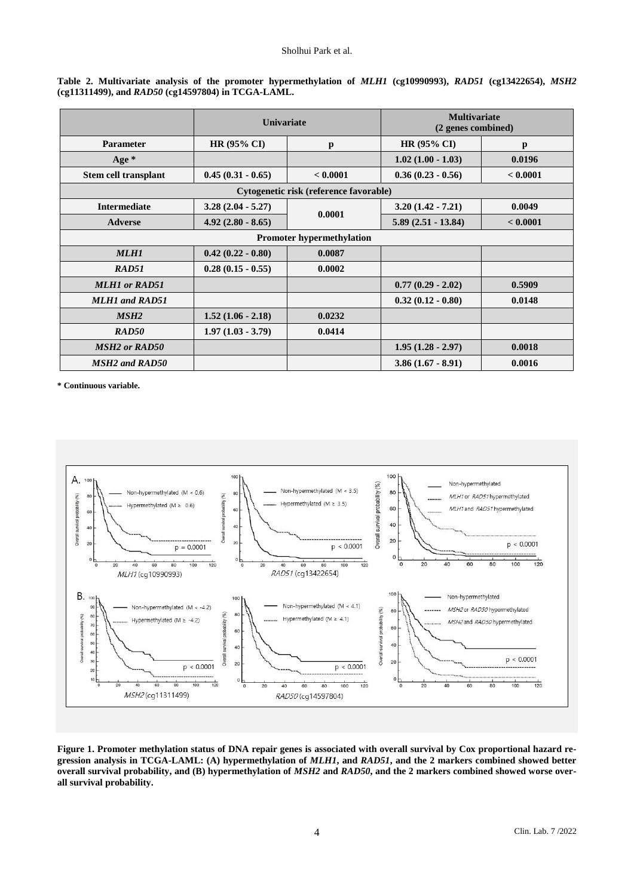|                                        | Univariate          |          | <b>Multivariate</b><br>(2 genes combined) |          |  |
|----------------------------------------|---------------------|----------|-------------------------------------------|----------|--|
| <b>Parameter</b>                       | <b>HR (95% CI)</b>  | p        | $HR (95\% CI)$                            | p        |  |
| Age $*$                                |                     |          | $1.02(1.00 - 1.03)$                       | 0.0196   |  |
| <b>Stem cell transplant</b>            | $0.45(0.31 - 0.65)$ | < 0.0001 | $0.36(0.23 - 0.56)$                       | < 0.0001 |  |
| Cytogenetic risk (reference favorable) |                     |          |                                           |          |  |
| <b>Intermediate</b>                    | $3.28(2.04 - 5.27)$ | 0.0001   | $3.20(1.42 - 7.21)$                       | 0.0049   |  |
| <b>Adverse</b>                         | $4.92(2.80 - 8.65)$ |          | $5.89(2.51 - 13.84)$                      | < 0.0001 |  |
| <b>Promoter hypermethylation</b>       |                     |          |                                           |          |  |
| <b>MLH1</b>                            | $0.42(0.22 - 0.80)$ | 0.0087   |                                           |          |  |
| RAD51                                  | $0.28(0.15 - 0.55)$ | 0.0002   |                                           |          |  |
| <b>MLH1</b> or <b>RAD51</b>            |                     |          | $0.77(0.29 - 2.02)$                       | 0.5909   |  |
| <b>MLH1</b> and <b>RAD51</b>           |                     |          | $0.32(0.12 - 0.80)$                       | 0.0148   |  |
| MSH <sub>2</sub>                       | $1.52(1.06 - 2.18)$ | 0.0232   |                                           |          |  |
| RAD50                                  | $1.97(1.03 - 3.79)$ | 0.0414   |                                           |          |  |
| <b>MSH2</b> or <b>RAD50</b>            |                     |          | $1.95(1.28 - 2.97)$                       | 0.0018   |  |
| <b>MSH2</b> and <b>RAD50</b>           |                     |          | $3.86(1.67 - 8.91)$                       | 0.0016   |  |

**Table 2. Multivariate analysis of the promoter hypermethylation of** *MLH1* **(cg10990993),** *RAD51* **(cg13422654),** *MSH2* **(cg11311499), and** *RAD50* **(cg14597804) in TCGA-LAML.**

**\* Continuous variable.**



**Figure 1. Promoter methylation status of DNA repair genes is associated with overall survival by Cox proportional hazard regression analysis in TCGA-LAML: (A) hypermethylation of** *MLH1***, and** *RAD51***, and the 2 markers combined showed better overall survival probability, and (B) hypermethylation of** *MSH2* **and** *RAD50***, and the 2 markers combined showed worse overall survival probability.**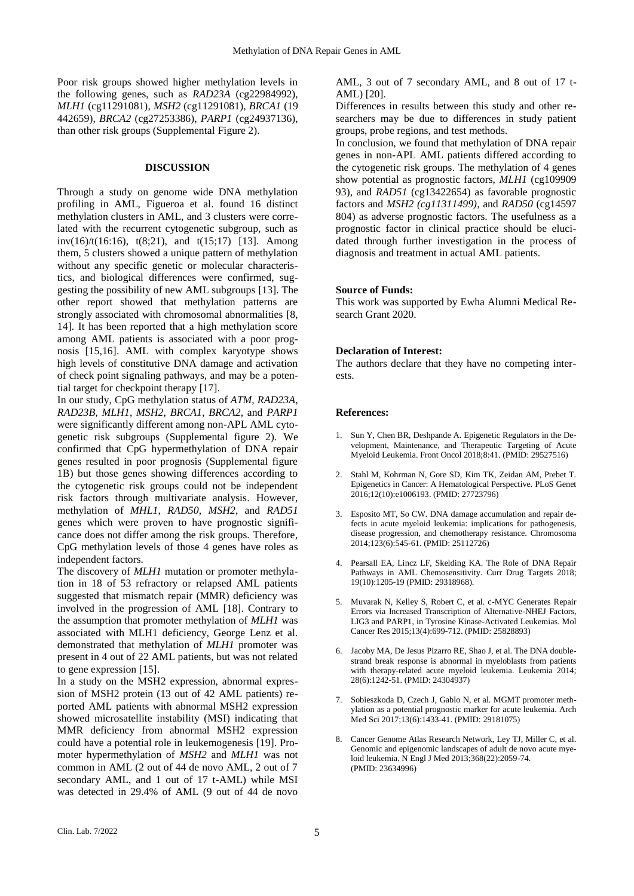Poor risk groups showed higher methylation levels in the following genes, such as *RAD23A* (cg22984992), *MLH1* (cg11291081), *MSH2* (cg11291081), *BRCA1* (19 442659), *BRCA2* (cg27253386), *PARP1* (cg24937136), than other risk groups (Supplemental Figure 2).

#### **DISCUSSION**

Through a study on genome wide DNA methylation profiling in AML, Figueroa et al. found 16 distinct methylation clusters in AML, and 3 clusters were correlated with the recurrent cytogenetic subgroup, such as inv(16)/t(16:16), t(8;21), and t(15;17) [13]. Among them, 5 clusters showed a unique pattern of methylation without any specific genetic or molecular characteristics, and biological differences were confirmed, suggesting the possibility of new AML subgroups [13]. The other report showed that methylation patterns are strongly associated with chromosomal abnormalities [8, 14]. It has been reported that a high methylation score among AML patients is associated with a poor prognosis [15,16]. AML with complex karyotype shows high levels of constitutive DNA damage and activation of check point signaling pathways, and may be a potential target for checkpoint therapy [17].

In our study, CpG methylation status of *ATM*, *RAD23A*, *RAD23B*, *MLH1*, *MSH2*, *BRCA1*, *BRCA2*, and *PARP1* were significantly different among non-APL AML cytogenetic risk subgroups (Supplemental figure 2). We confirmed that CpG hypermethylation of DNA repair genes resulted in poor prognosis (Supplemental figure 1B) but those genes showing differences according to the cytogenetic risk groups could not be independent risk factors through multivariate analysis. However, methylation of *MHL1*, *RAD50*, *MSH2*, and *RAD51* genes which were proven to have prognostic significance does not differ among the risk groups. Therefore, CpG methylation levels of those 4 genes have roles as independent factors.

The discovery of *MLH1* mutation or promoter methylation in 18 of 53 refractory or relapsed AML patients suggested that mismatch repair (MMR) deficiency was involved in the progression of AML [18]. Contrary to the assumption that promoter methylation of *MLH1* was associated with MLH1 deficiency, George Lenz et al. demonstrated that methylation of *MLH1* promoter was present in 4 out of 22 AML patients, but was not related to gene expression [15].

In a study on the MSH2 expression, abnormal expression of MSH2 protein (13 out of 42 AML patients) reported AML patients with abnormal MSH2 expression showed microsatellite instability (MSI) indicating that MMR deficiency from abnormal MSH2 expression could have a potential role in leukemogenesis [19]. Promoter hypermethylation of *MSH2* and *MLH1* was not common in AML (2 out of 44 de novo AML, 2 out of 7 secondary AML, and 1 out of 17 t-AML) while MSI was detected in 29.4% of AML (9 out of 44 de novo

AML, 3 out of 7 secondary AML, and 8 out of 17 t-AML) [20].

Differences in results between this study and other researchers may be due to differences in study patient groups, probe regions, and test methods.

In conclusion, we found that methylation of DNA repair genes in non-APL AML patients differed according to the cytogenetic risk groups. The methylation of 4 genes show potential as prognostic factors, *MLH1* (cg109909 93), and *RAD51* (cg13422654) as favorable prognostic factors and *MSH2 (cg11311499)*, and *RAD50* (cg14597 804) as adverse prognostic factors. The usefulness as a prognostic factor in clinical practice should be elucidated through further investigation in the process of diagnosis and treatment in actual AML patients.

#### **Source of Funds:**

This work was supported by Ewha Alumni Medical Research Grant 2020.

#### **Declaration of Interest:**

The authors declare that they have no competing interests.

#### **References:**

- 1. Sun Y, Chen BR, Deshpande A. Epigenetic Regulators in the Development, Maintenance, and Therapeutic Targeting of Acute Myeloid Leukemia. Front Oncol 2018;8:41. (PMID: 29527516)
- 2. Stahl M, Kohrman N, Gore SD, Kim TK, Zeidan AM, Prebet T. Epigenetics in Cancer: A Hematological Perspective. PLoS Genet 2016;12(10):e1006193. (PMID: 27723796)
- 3. Esposito MT, So CW. DNA damage accumulation and repair defects in acute myeloid leukemia: implications for pathogenesis, disease progression, and chemotherapy resistance. Chromosoma 2014;123(6):545-61. (PMID: 25112726)
- 4. Pearsall EA, Lincz LF, Skelding KA. The Role of DNA Repair Pathways in AML Chemosensitivity. Curr Drug Targets 2018; 19(10):1205-19 (PMID: 29318968).
- 5. Muvarak N, Kelley S, Robert C, et al. c-MYC Generates Repair Errors via Increased Transcription of Alternative-NHEJ Factors, LIG3 and PARP1, in Tyrosine Kinase-Activated Leukemias. Mol Cancer Res 2015;13(4):699-712. (PMID: 25828893)
- 6. Jacoby MA, De Jesus Pizarro RE, Shao J, et al. The DNA doublestrand break response is abnormal in myeloblasts from patients with therapy-related acute myeloid leukemia. Leukemia 2014; 28(6):1242-51. (PMID: 24304937)
- 7. Sobieszkoda D, Czech J, Gablo N, et al. MGMT promoter methylation as a potential prognostic marker for acute leukemia. Arch Med Sci 2017;13(6):1433-41. (PMID: 29181075)
- 8. Cancer Genome Atlas Research Network, Ley TJ, Miller C, et al. Genomic and epigenomic landscapes of adult de novo acute myeloid leukemia. N Engl J Med 2013;368(22):2059-74. (PMID: 23634996)